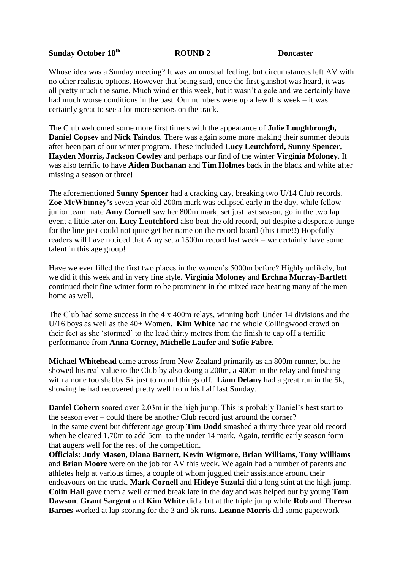## **Sunday October 18th**

**ROUND 2** Doncaster

Whose idea was a Sunday meeting? It was an unusual feeling, but circumstances left AV with no other realistic options. However that being said, once the first gunshot was heard, it was all pretty much the same. Much windier this week, but it wasn't a gale and we certainly have had much worse conditions in the past. Our numbers were up a few this week – it was certainly great to see a lot more seniors on the track.

The Club welcomed some more first timers with the appearance of **Julie Loughbrough, Daniel Copsey** and **Nick Tsindos**. There was again some more making their summer debuts after been part of our winter program. These included **Lucy Leutchford, Sunny Spencer, Hayden Morris, Jackson Cowley** and perhaps our find of the winter **Virginia Moloney**. It was also terrific to have **Aiden Buchanan** and **Tim Holmes** back in the black and white after missing a season or three!

The aforementioned **Sunny Spencer** had a cracking day, breaking two U/14 Club records. **Zoe McWhinney's** seven year old 200m mark was eclipsed early in the day, while fellow junior team mate **Amy Cornell** saw her 800m mark, set just last season, go in the two lap event a little later on. **Lucy Leutchford** also beat the old record, but despite a desperate lunge for the line just could not quite get her name on the record board (this time!!) Hopefully readers will have noticed that Amy set a 1500m record last week – we certainly have some talent in this age group!

Have we ever filled the first two places in the women's 5000m before? Highly unlikely, but we did it this week and in very fine style. **Virginia Moloney** and **Erchna Murray-Bartlett** continued their fine winter form to be prominent in the mixed race beating many of the men home as well.

The Club had some success in the 4 x 400m relays, winning both Under 14 divisions and the U/16 boys as well as the 40+ Women. **Kim White** had the whole Collingwood crowd on their feet as she 'stormed' to the lead thirty metres from the finish to cap off a terrific performance from **Anna Corney, Michelle Laufer** and **Sofie Fabre**.

**Michael Whitehead** came across from New Zealand primarily as an 800m runner, but he showed his real value to the Club by also doing a 200m, a 400m in the relay and finishing with a none too shabby 5k just to round things off. **Liam Delany** had a great run in the 5k, showing he had recovered pretty well from his half last Sunday.

**Daniel Cobern** soared over 2.03m in the high jump. This is probably Daniel's best start to the season ever – could there be another Club record just around the corner? In the same event but different age group **Tim Dodd** smashed a thirty three year old record when he cleared 1.70m to add 5cm to the under 14 mark. Again, terrific early season form that augers well for the rest of the competition.

**Officials: Judy Mason, Diana Barnett, Kevin Wigmore, Brian Williams, Tony Williams**  and **Brian Moore** were on the job for AV this week. We again had a number of parents and athletes help at various times, a couple of whom juggled their assistance around their endeavours on the track. **Mark Cornell** and **Hideye Suzuki** did a long stint at the high jump. **Colin Hall** gave them a well earned break late in the day and was helped out by young **Tom Dawson**. **Grant Sargent** and **Kim White** did a bit at the triple jump while **Rob** and **Theresa Barnes** worked at lap scoring for the 3 and 5k runs. **Leanne Morris** did some paperwork